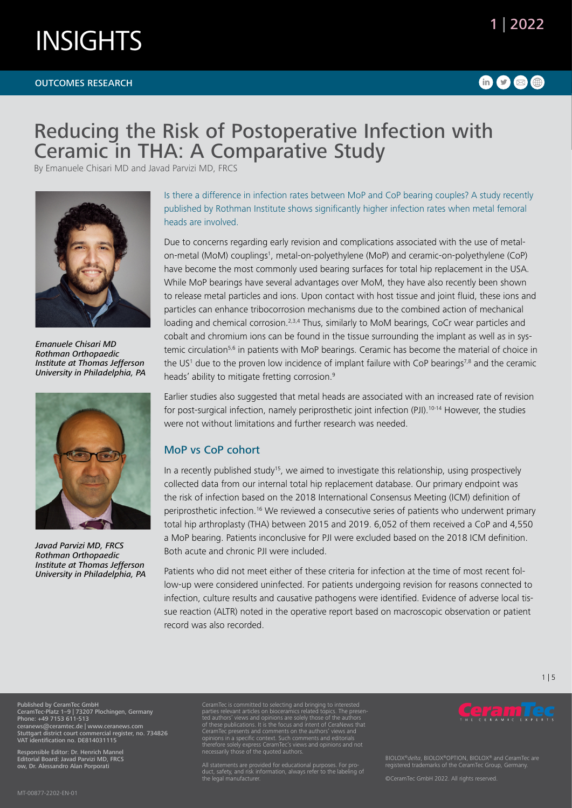#### OUTCOMES RESEARCH

## 1 | 2022

### $\mathbf 0$ 000

## Reducing the Risk of Postoperative Infection with Ceramic in THA: A Comparative Study

By Emanuele Chisari MD and Javad Parvizi MD, FRCS



*Emanuele Chisari MD Rothman Orthopaedic Institute at Thomas Jefferson University in Philadelphia, PA*



*Javad Parvizi MD, FRCS Rothman Orthopaedic Institute at Thomas Jefferson University in Philadelphia, PA*

Is there a difference in infection rates between MoP and CoP bearing couples? A study recently published by Rothman Institute shows significantly higher infection rates when metal femoral heads are involved.

Due to concerns regarding early revision and complications associated with the use of metalon-metal (MoM) couplings<sup>1</sup>, metal-on-polyethylene (MoP) and ceramic-on-polyethylene (CoP) have become the most commonly used bearing surfaces for total hip replacement in the USA. While MoP bearings have several advantages over MoM, they have also recently been shown to release metal particles and ions. Upon contact with host tissue and joint fluid, these ions and particles can enhance tribocorrosion mechanisms due to the combined action of mechanical loading and chemical corrosion.<sup>2,3,4</sup> Thus, similarly to MoM bearings, CoCr wear particles and cobalt and chromium ions can be found in the tissue surrounding the implant as well as in systemic circulation<sup>5,6</sup> in patients with MoP bearings. Ceramic has become the material of choice in the US<sup>1</sup> due to the proven low incidence of implant failure with CoP bearings<sup>7,8</sup> and the ceramic heads' ability to mitigate fretting corrosion.<sup>9</sup>

Earlier studies also suggested that metal heads are associated with an increased rate of revision for post-surgical infection, namely periprosthetic joint infection (PJI).<sup>10-14</sup> However, the studies were not without limitations and further research was needed.

### MoP vs CoP cohort

In a recently published study<sup>15</sup>, we aimed to investigate this relationship, using prospectively collected data from our internal total hip replacement database. Our primary endpoint was the risk of infection based on the 2018 International Consensus Meeting (ICM) definition of periprosthetic infection.16 We reviewed a consecutive series of patients who underwent primary total hip arthroplasty (THA) between 2015 and 2019. 6,052 of them received a CoP and 4,550 a MoP bearing. Patients inconclusive for PJI were excluded based on the 2018 ICM definition. Both acute and chronic PJI were included.

Patients who did not meet either of these criteria for infection at the time of most recent follow-up were considered uninfected. For patients undergoing revision for reasons connected to infection, culture results and causative pathogens were identified. Evidence of adverse local tissue reaction (ALTR) noted in the operative report based on macroscopic observation or patient record was also recorded.

Published by CeramTec GmbH CeramTec-Platz 1–9 | 73207 Plochingen, Germany Phone: +49 7153 611-513 ceranews@ceramtec.de | www.ceranews.com Stuttgart district court commercial register, no. 734826 VAT identification no. DE814031115

Responsible Editor: Dr. Henrich Mannel Editorial Board: Javad Parvizi MD, FRCS ow, Dr. Alessandro Alan Porporati

MT-00877-2202-EN-01

CeramTec is committed to selecting and bringing to interested<br>parties relevant articles on bioceramics related topics. The presen-<br>ted authors' views and opinions are solely those of the authors<br>of these publications. It i CeramTec presents and comments on the authors' views and opinions in a specific context. Such comments and editorials therefore solely express CeramTec's views and opinions and not necessarily those of the quoted authors.

All statements are provided for educational purposes. For pro-duct, safety, and risk information, always refer to the labeling of the legal manufacturer.



1 | 5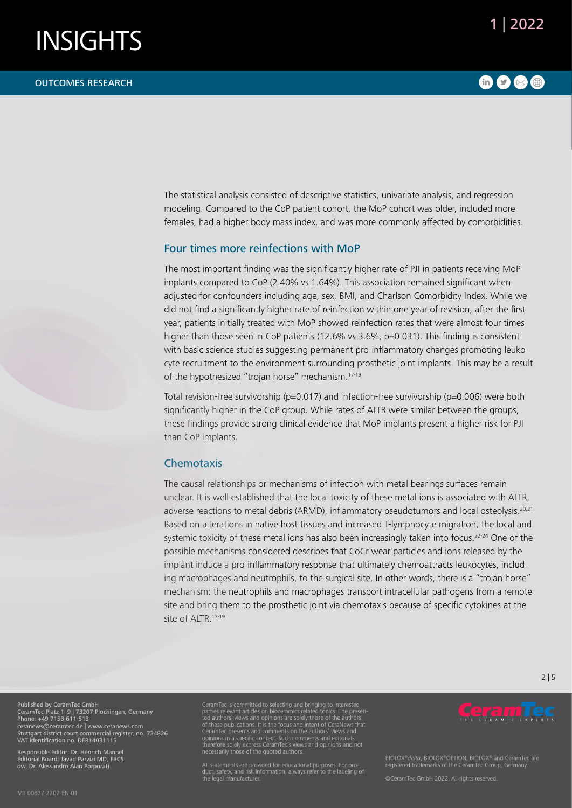#### OUTCOMES RESEARCH

### $\bullet$  000

The statistical analysis consisted of descriptive statistics, univariate analysis, and regression modeling. Compared to the CoP patient cohort, the MoP cohort was older, included more females, had a higher body mass index, and was more commonly affected by comorbidities.

#### Four times more reinfections with MoP

The most important finding was the significantly higher rate of PJI in patients receiving MoP implants compared to CoP (2.40% vs 1.64%). This association remained significant when adjusted for confounders including age, sex, BMI, and Charlson Comorbidity Index. While we did not find a significantly higher rate of reinfection within one year of revision, after the first year, patients initially treated with MoP showed reinfection rates that were almost four times higher than those seen in CoP patients (12.6% vs 3.6%, p=0.031). This finding is consistent with basic science studies suggesting permanent pro-inflammatory changes promoting leukocyte recruitment to the environment surrounding prosthetic joint implants. This may be a result of the hypothesized "trojan horse" mechanism.17-19

Total revision-free survivorship ( $p=0.017$ ) and infection-free survivorship ( $p=0.006$ ) were both significantly higher in the CoP group. While rates of ALTR were similar between the groups, these findings provide strong clinical evidence that MoP implants present a higher risk for PJI than CoP implants.

#### **Chemotaxis**

The causal relationships or mechanisms of infection with metal bearings surfaces remain unclear. It is well established that the local toxicity of these metal ions is associated with ALTR, adverse reactions to metal debris (ARMD), inflammatory pseudotumors and local osteolysis.<sup>20,21</sup> Based on alterations in native host tissues and increased T-lymphocyte migration, the local and systemic toxicity of these metal ions has also been increasingly taken into focus.<sup>22-24</sup> One of the possible mechanisms considered describes that CoCr wear particles and ions released by the implant induce a pro-inflammatory response that ultimately chemoattracts leukocytes, including macrophages and neutrophils, to the surgical site. In other words, there is a "trojan horse" mechanism: the neutrophils and macrophages transport intracellular pathogens from a remote site and bring them to the prosthetic joint via chemotaxis because of specific cytokines at the site of ALTR.<sup>17-19</sup>

#### 2 | 5

Published by CeramTec GmbH CeramTec-Platz 1–9 | 73207 Plochingen, Germany Phone: +49 7153 611-513 ceranews@ceramtec.de | www.ceranews.com Stuttgart district court commercial register, no. 734826 VAT identification no. DE814031115

Responsible Editor: Dr. Henrich Mannel Editorial Board: Javad Parvizi MD, FRCS ow, Dr. Alessandro Alan Porporati

parties relevant articles on bioceramics related topics. The presen-ted authors' views and opinions are solely those of the authors of these publications. It is the focus and intent of CeraNews that CeramTec presents and comments on the authors' views and opinions in a specific context. Such comments and editorials therefore solely express CeramTec's views and opinions and not necessarily those of the quoted authors.

All statements are provided for educational purposes. For pro-duct, safety, and risk information, always refer to the labeling of the legal manufacturer.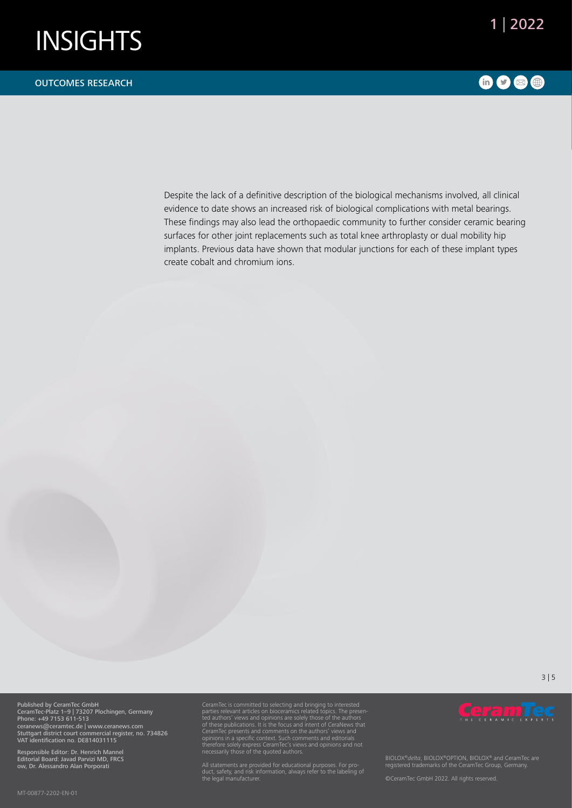

#### OUTCOMES RESEARCH

### 600®

Despite the lack of a definitive description of the biological mechanisms involved, all clinical evidence to date shows an increased risk of biological complications with metal bearings. These findings may also lead the orthopaedic community to further consider ceramic bearing surfaces for other joint replacements such as total knee arthroplasty or dual mobility hip implants. Previous data have shown that modular junctions for each of these implant types create cobalt and chromium ions.

3 | 5

Published by CeramTec GmbH CeramTec-Platz 1–9 | 73207 Plochingen, Germany Phone: +49 7153 611-513 ceranews@ceramtec.de | www.ceranews.com Stuttgart district court commercial register, no. 734826 VAT identification no. DE814031115

Responsible Editor: Dr. Henrich Mannel Editorial Board: Javad Parvizi MD, FRCS ow, Dr. Alessandro Alan Porporati

CeramTec is committed to selecting and bringing to interested<br>parties relevant articles on bioceramics related topics. The presen-<br>ted authors' views and opinions are solely those of the authors<br>of these publications. It i

All statements are provided for educational purposes. For pro-duct, safety, and risk information, always refer to the labeling of the legal manufacturer.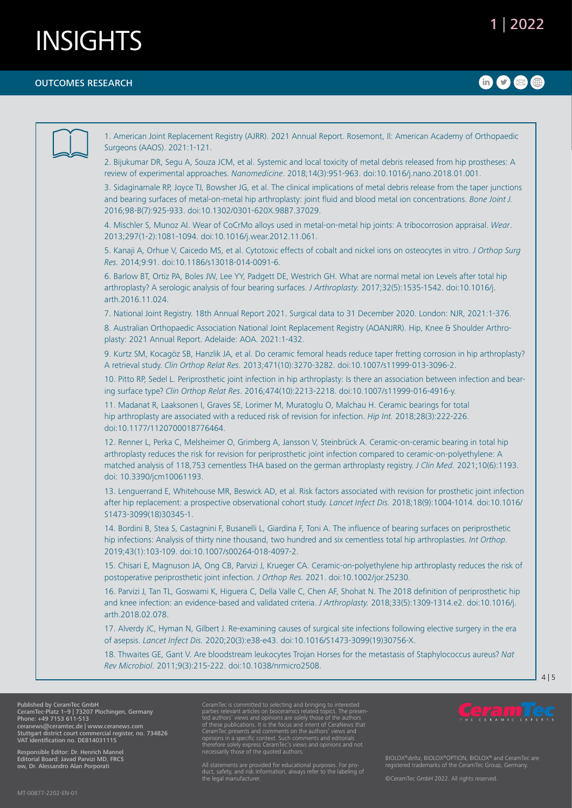#### OUTCOMES RESEARCH

## $\bullet$ 000

|  | 1. American Joint Replacement Registry (AJRR). 2021 Annual Report. Rosemont, II: American Academy of Orthopaedic<br>Surgeons (AAOS). 2021:1-121.                                                                                                                                                                                                                                             |
|--|----------------------------------------------------------------------------------------------------------------------------------------------------------------------------------------------------------------------------------------------------------------------------------------------------------------------------------------------------------------------------------------------|
|  | 2. Bijukumar DR, Segu A, Souza JCM, et al. Systemic and local toxicity of metal debris released from hip prostheses: A<br>review of experimental approaches. Nanomedicine. 2018;14(3):951-963. doi:10.1016/j.nano.2018.01.001.                                                                                                                                                               |
|  | 3. Sidaginamale RP, Joyce TJ, Bowsher JG, et al. The clinical implications of metal debris release from the taper junctions<br>and bearing surfaces of metal-on-metal hip arthroplasty: joint fluid and blood metal ion concentrations. Bone Joint J.<br>2016;98-B(7):925-933. doi:10.1302/0301-620X.98B7.37029.                                                                             |
|  | 4. Mischler S, Munoz AI. Wear of CoCrMo alloys used in metal-on-metal hip joints: A tribocorrosion appraisal. Wear.<br>2013;297(1-2):1081-1094. doi:10.1016/j.wear.2012.11.061.                                                                                                                                                                                                              |
|  | 5. Kanaji A, Orhue V, Caicedo MS, et al. Cytotoxic effects of cobalt and nickel ions on osteocytes in vitro. J Orthop Surg<br>Res. 2014;9:91. doi:10.1186/s13018-014-0091-6.                                                                                                                                                                                                                 |
|  | 6. Barlow BT, Ortiz PA, Boles JW, Lee YY, Padgett DE, Westrich GH. What are normal metal ion Levels after total hip<br>arthroplasty? A serologic analysis of four bearing surfaces. J Arthroplasty. 2017;32(5):1535-1542. doi:10.1016/j.<br>arth.2016.11.024.                                                                                                                                |
|  | 7. National Joint Registry. 18th Annual Report 2021. Surgical data to 31 December 2020. London: NJR, 2021:1-376.                                                                                                                                                                                                                                                                             |
|  | 8. Australian Orthopaedic Association National Joint Replacement Registry (AOANJRR). Hip, Knee & Shoulder Arthro-<br>plasty: 2021 Annual Report. Adelaide: AOA. 2021:1-432.                                                                                                                                                                                                                  |
|  | 9. Kurtz SM, Kocagöz SB, Hanzlik JA, et al. Do ceramic femoral heads reduce taper fretting corrosion in hip arthroplasty?<br>A retrieval study. Clin Orthop Relat Res. 2013;471(10):3270-3282. doi:10.1007/s11999-013-3096-2.                                                                                                                                                                |
|  | 10. Pitto RP, Sedel L. Periprosthetic joint infection in hip arthroplasty: Is there an association between infection and bear-<br>ing surface type? Clin Orthop Relat Res. 2016;474(10):2213-2218. doi:10.1007/s11999-016-4916-y.                                                                                                                                                            |
|  | 11. Madanat R, Laaksonen I, Graves SE, Lorimer M, Muratoglu O, Malchau H. Ceramic bearings for total<br>hip arthroplasty are associated with a reduced risk of revision for infection. Hip Int. 2018;28(3):222-226.<br>doi:10.1177/1120700018776464.                                                                                                                                         |
|  | 12. Renner L, Perka C, Melsheimer O, Grimberg A, Jansson V, Steinbrück A. Ceramic-on-ceramic bearing in total hip<br>arthroplasty reduces the risk for revision for periprosthetic joint infection compared to ceramic-on-polyethylene: A<br>matched analysis of 118,753 cementless THA based on the german arthroplasty registry. J Clin Med. 2021;10(6):1193.<br>doi: 10.3390/jcm10061193. |
|  | 13. Lenguerrand E, Whitehouse MR, Beswick AD, et al. Risk factors associated with revision for prosthetic joint infection<br>after hip replacement: a prospective observational cohort study. Lancet Infect Dis. 2018;18(9):1004-1014. doi:10.1016/<br>S1473-3099(18)30345-1.                                                                                                                |
|  | 14. Bordini B, Stea S, Castagnini F, Busanelli L, Giardina F, Toni A. The influence of bearing surfaces on periprosthetic<br>hip infections: Analysis of thirty nine thousand, two hundred and six cementless total hip arthroplasties. Int Orthop.<br>2019;43(1):103-109. doi:10.1007/s00264-018-4097-2.                                                                                    |
|  | 15. Chisari E, Magnuson JA, Ong CB, Parvizi J, Krueger CA. Ceramic-on-polyethylene hip arthroplasty reduces the risk of<br>postoperative periprosthetic joint infection. J Orthop Res. 2021. doi:10.1002/jor.25230.                                                                                                                                                                          |
|  | 16. Parvizi J, Tan TL, Goswami K, Higuera C, Della Valle C, Chen AF, Shohat N. The 2018 definition of periprosthetic hip<br>and knee infection: an evidence-based and validated criteria. J Arthroplasty. 2018;33(5):1309-1314.e2. doi:10.1016/j.<br>arth.2018.02.078.                                                                                                                       |
|  | 17. Alverdy JC, Hyman N, Gilbert J. Re-examining causes of surgical site infections following elective surgery in the era<br>of asepsis. Lancet Infect Dis. 2020;20(3):e38-e43. doi:10.1016/S1473-3099(19)30756-X.                                                                                                                                                                           |
|  | 18. Thwaites GE, Gant V. Are bloodstream leukocytes Trojan Horses for the metastasis of Staphylococcus aureus? Nat<br>Rev Microbiol. 2011;9(3):215-222. doi:10.1038/nrmicro2508.                                                                                                                                                                                                             |
|  |                                                                                                                                                                                                                                                                                                                                                                                              |

Phone: +49 7153 611-513 ceranews@ceramtec.de | www.ceranews.com Stuttgart district court commercial register, no. 734826 VAT identification no. DE814031115

Responsible Editor: Dr. Henrich Mannel Editorial Board: Javad Parvizi MD, FRCS ow, Dr. Alessandro Alan Porporati

of these publications. It is the focus and intent of CeraNews that<br>CeramTec presents and comments on the authors' views and<br>opinions in a specific context. Such comments and editorials<br>therefore solely express CeramTec's v

All statements are provided for educational purposes. For pro-duct, safety, and risk information, always refer to the labeling of the legal manufacturer.